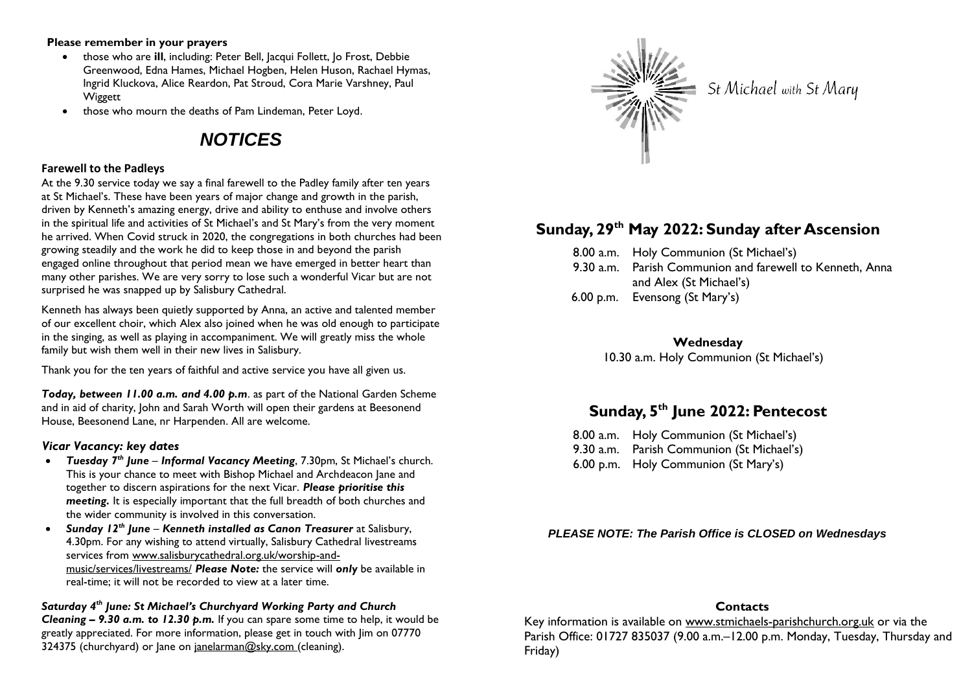#### **Please remember in your prayers**

- those who are **ill**, including: Peter Bell, Jacqui Follett, Jo Frost, Debbie Greenwood, Edna Hames, Michael Hogben, Helen Huson, Rachael Hymas, Ingrid Kluckova, Alice Reardon, Pat Stroud, Cora Marie Varshney, Paul Wiggett
- those who mourn the deaths of Pam Lindeman, Peter Loyd.

# *NOTICES*

## **Farewell to the Padleys**

At the 9.30 service today we say a final farewell to the Padley family after ten years at St Michael's. These have been years of major change and growth in the parish, driven by Kenneth's amazing energy, drive and ability to enthuse and involve others in the spiritual life and activities of St Michael's and St Mary's from the very moment he arrived. When Covid struck in 2020, the congregations in both churches had been growing steadily and the work he did to keep those in and beyond the parish engaged online throughout that period mean we have emerged in better heart than many other parishes. We are very sorry to lose such a wonderful Vicar but are not surprised he was snapped up by Salisbury Cathedral.

Kenneth has always been quietly supported by Anna, an active and talented member of our excellent choir, which Alex also joined when he was old enough to participate in the singing, as well as playing in accompaniment. We will greatly miss the whole family but wish them well in their new lives in Salisbury.

Thank you for the ten years of faithful and active service you have all given us.

*Today, between 11.00 a.m. and 4.00 p.m*. as part of the National Garden Scheme and in aid of charity, John and Sarah Worth will open their gardens at Beesonend House, Beesonend Lane, nr Harpenden. All are welcome.

# *Vicar Vacancy: key dates*

- *Tuesday 7th June Informal Vacancy Meeting*, 7.30pm, St Michael's church. This is your chance to meet with Bishop Michael and Archdeacon Jane and together to discern aspirations for the next Vicar. *Please prioritise this meeting.* It is especially important that the full breadth of both churches and the wider community is involved in this conversation.
- *Sunday 12th June Kenneth installed as Canon Treasurer* at Salisbury, 4.30pm. For any wishing to attend virtually, Salisbury Cathedral livestreams services from [www.salisburycathedral.org.uk/worship-and](http://www.salisburycathedral.org.uk/worship-and-music/services/livestreams/)[music/services/livestreams/](http://www.salisburycathedral.org.uk/worship-and-music/services/livestreams/) *Please Note:* the service will *only* be available in real-time; it will not be recorded to view at a later time.

# *Saturday 4th June: St Michael's Churchyard Working Party and Church Cleaning – 9.30 a.m. to 12.30 p.m.* If you can spare some time to help, it would be greatly appreciated. For more information, please get in touch with Jim on 07770 324375 (churchyard) or lane on janelarman@sky.com (cleaning).



St Michael with St Mary

# **Sunday, 29 th May 2022: Sunday after Ascension**

- 8.00 a.m. Holy Communion (St Michael's)
- 9.30 a.m. Parish Communion and farewell to Kenneth, Anna and Alex (St Michael's)
- 6.00 p.m. Evensong (St Mary's)

**Wednesday** 10.30 a.m. Holy Communion (St Michael's)

# **Sunday, 5 th June 2022: Pentecost**

8.00 a.m. Holy Communion (St Michael's) 9.30 a.m. Parish Communion (St Michael's) 6.00 p.m. Holy Communion (St Mary's)

# *PLEASE NOTE: The Parish Office is CLOSED on Wednesdays*

# **Contacts**

Key information is available on www.stmichaels-parishchurch.org.uk or via the Parish Office: 01727 835037 (9.00 a.m. - 12.00 p.m. Monday, Tuesday, Thursday and Friday)